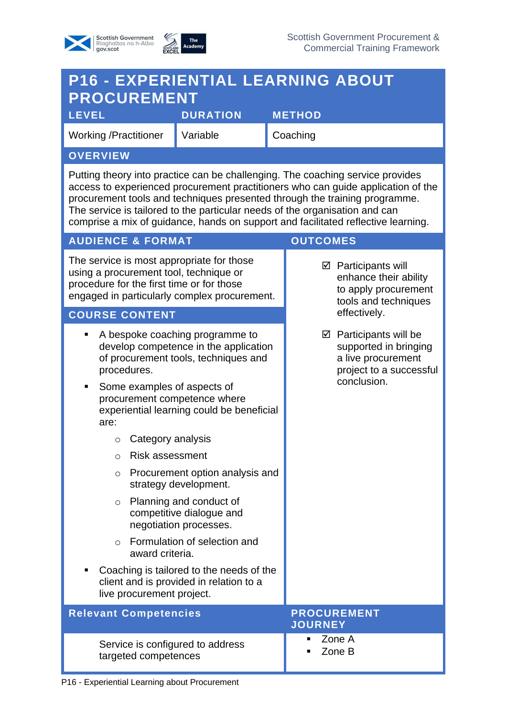



| <b>P16 - EXPERIENTIAL LEARNING ABOUT</b><br><b>PROCUREMENT</b>                                                                                                                                                                                                                                                                                                                                                       |                                                                               |                                                                                                                           |                 |  |
|----------------------------------------------------------------------------------------------------------------------------------------------------------------------------------------------------------------------------------------------------------------------------------------------------------------------------------------------------------------------------------------------------------------------|-------------------------------------------------------------------------------|---------------------------------------------------------------------------------------------------------------------------|-----------------|--|
| <b>LEVEL</b>                                                                                                                                                                                                                                                                                                                                                                                                         | <b>DURATION</b>                                                               |                                                                                                                           | <b>METHOD</b>   |  |
| <b>Working /Practitioner</b>                                                                                                                                                                                                                                                                                                                                                                                         | Variable                                                                      |                                                                                                                           | Coaching        |  |
| <b>OVERVIEW</b>                                                                                                                                                                                                                                                                                                                                                                                                      |                                                                               |                                                                                                                           |                 |  |
| Putting theory into practice can be challenging. The coaching service provides<br>access to experienced procurement practitioners who can guide application of the<br>procurement tools and techniques presented through the training programme.<br>The service is tailored to the particular needs of the organisation and can<br>comprise a mix of guidance, hands on support and facilitated reflective learning. |                                                                               |                                                                                                                           |                 |  |
| <b>AUDIENCE &amp; FORMAT</b>                                                                                                                                                                                                                                                                                                                                                                                         |                                                                               |                                                                                                                           | <b>OUTCOMES</b> |  |
| The service is most appropriate for those<br>using a procurement tool, technique or<br>procedure for the first time or for those<br>engaged in particularly complex procurement.                                                                                                                                                                                                                                     |                                                                               | $\boxtimes$ Participants will<br>enhance their ability<br>to apply procurement<br>tools and techniques                    |                 |  |
| <b>COURSE CONTENT</b>                                                                                                                                                                                                                                                                                                                                                                                                |                                                                               |                                                                                                                           | effectively.    |  |
| A bespoke coaching programme to<br>develop competence in the application<br>of procurement tools, techniques and<br>procedures.<br>Some examples of aspects of<br>٠<br>procurement competence where<br>experiential learning could be beneficial<br>are:                                                                                                                                                             |                                                                               | $\boxtimes$ Participants will be<br>supported in bringing<br>a live procurement<br>project to a successful<br>conclusion. |                 |  |
| Category analysis<br>$\circ$                                                                                                                                                                                                                                                                                                                                                                                         |                                                                               |                                                                                                                           |                 |  |
| <b>Risk assessment</b><br>$\bigcirc$                                                                                                                                                                                                                                                                                                                                                                                 |                                                                               |                                                                                                                           |                 |  |
| Procurement option analysis and<br>$\circ$<br>strategy development.                                                                                                                                                                                                                                                                                                                                                  |                                                                               |                                                                                                                           |                 |  |
| $\circ$                                                                                                                                                                                                                                                                                                                                                                                                              | Planning and conduct of<br>competitive dialogue and<br>negotiation processes. |                                                                                                                           |                 |  |
| $\circ$<br>award criteria.                                                                                                                                                                                                                                                                                                                                                                                           | Formulation of selection and                                                  |                                                                                                                           |                 |  |
| Coaching is tailored to the needs of the<br>client and is provided in relation to a<br>live procurement project.                                                                                                                                                                                                                                                                                                     |                                                                               |                                                                                                                           |                 |  |
| <b>Relevant Competencies</b><br><b>PROCUREMENT</b><br><b>JOURNEY</b>                                                                                                                                                                                                                                                                                                                                                 |                                                                               |                                                                                                                           |                 |  |
| Service is configured to address<br>targeted competences                                                                                                                                                                                                                                                                                                                                                             |                                                                               | Zone A<br>Zone B                                                                                                          |                 |  |